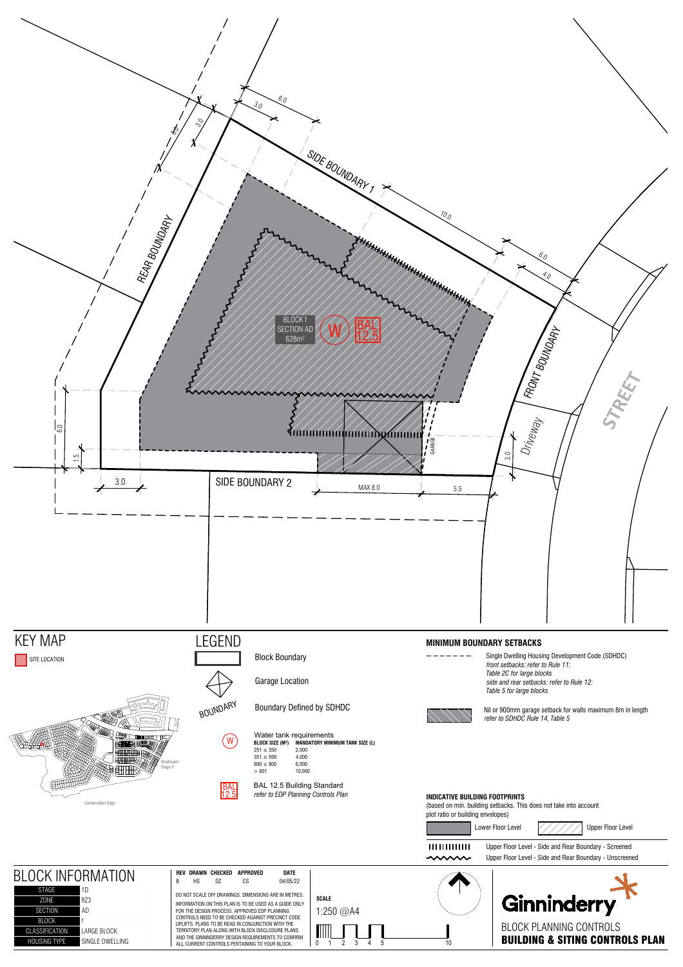